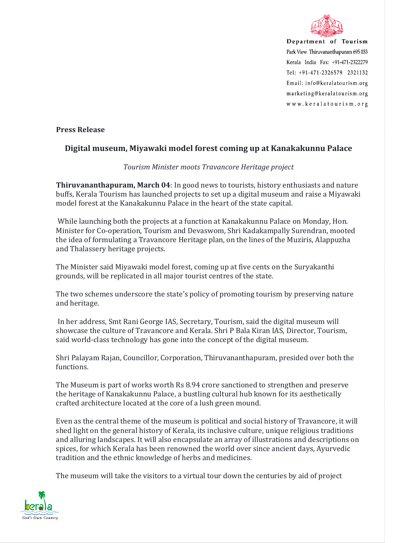

Department of Tourism Park View Thiruvananthapuram 695 033 Kerala India Fax: +91-471-2322279 Tel: +91-471-2326579 2321132 Email: info@keralatourism.org marketing@keralatourism.org www.keralatourism.org

**Press Release** 

## **Digital museum, Miyawaki model forest coming up at Kanakakunnu Palace**

## *Tourism Minister moots Travancore Heritage project*

**Thiruvananthapuram, March 04**: In good news to tourists, history enthusiasts and nature buffs, Kerala Tourism has launched projects to set up a digital museum and raise a Miyawaki model forest at the Kanakakunnu Palace in the heart of the state capital.

 While launching both the projects at a function at Kanakakunnu Palace on Monday, Hon. Minister for Co-operation, Tourism and Devaswom, Shri Kadakampally Surendran, mooted the idea of formulating a Travancore Heritage plan, on the lines of the Muziris, Alappuzha and Thalassery heritage projects.

The Minister said Miyawaki model forest, coming up at five cents on the Suryakanthi grounds, will be replicated in all major tourist centres of the state.

The two schemes underscore the state's policy of promoting tourism by preserving nature and heritage.

 In her address, Smt Rani George IAS, Secretary, Tourism, said the digital museum will showcase the culture of Travancore and Kerala. Shri P Bala Kiran IAS, Director, Tourism, said world-class technology has gone into the concept of the digital museum.

Shri Palayam Rajan, Councillor, Corporation, Thiruvananthapuram, presided over both the functions.

The Museum is part of works worth Rs 8.94 crore sanctioned to strengthen and preserve the heritage of Kanakakunnu Palace, a bustling cultural hub known for its aesthetically crafted architecture located at the core of a lush green mound.

Even as the central theme of the museum is political and social history of Travancore, it will shed light on the general history of Kerala, its inclusive culture, unique religious traditions and alluring landscapes. It will also encapsulate an array of illustrations and descriptions on spices, for which Kerala has been renowned the world over since ancient days, Ayurvedic tradition and the ethnic knowledge of herbs and medicines.

The museum will take the visitors to a virtual tour down the centuries by aid of project